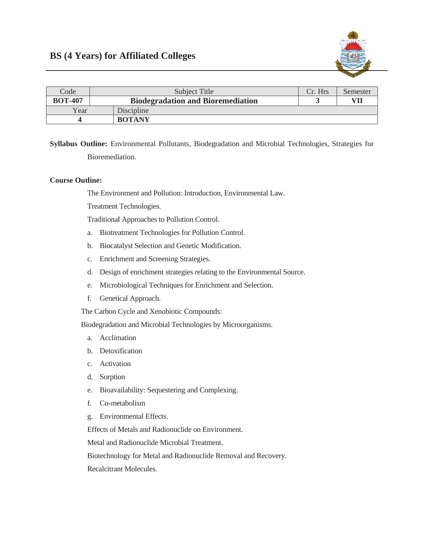

| Code           | Subject Title                            | Cr. Hrs | Semester |
|----------------|------------------------------------------|---------|----------|
| <b>BOT-407</b> | <b>Biodegradation and Bioremediation</b> |         | VII      |
| Year           | Discipline                               |         |          |
|                | <b>BOTANY</b>                            |         |          |

Syllabus Outline: Environmental Pollutants, Biodegradation and Microbial Technologies, Strategies for Bioremediation.

## **Course Outline:**

The Environment and Pollution: Introduction, Environmental Law.

Treatment Technologies.

Traditional Approaches to Pollution Control.

- Biotreatment Technologies for Pollution Control. a.
- b. Biocatalyst Selection and Genetic Modification.
- c. Enrichment and Screening Strategies.
- d. Design of enrichment strategies relating to the Environmental Source.
- e. Microbiological Techniques for Enrichment and Selection.
- f. Genetical Approach.

The Carbon Cycle and Xenobiotic Compounds:

Biodegradation and Microbial Technologies by Microorganisms.

- a. Acclimation
- b. Detoxification
- c. Activation
- d. Sorption
- e. Bioavailability: Sequestering and Complexing.
- Co-metabolism f.
- g. Environmental Effects.

Effects of Metals and Radionuclide on Environment.

Metal and Radionuclide Microbial Treatment.

Biotechnology for Metal and Radionuclide Removal and Recovery.

Recalcitrant Molecules.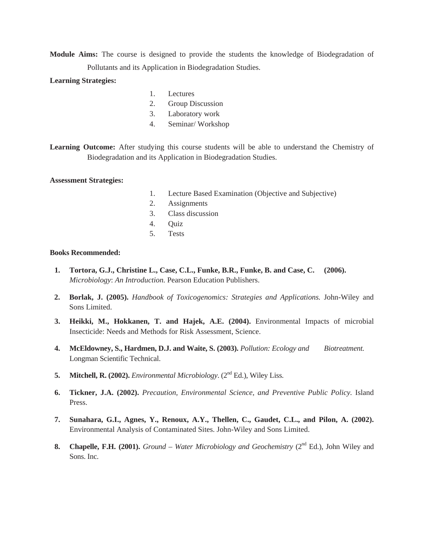**Module Aims:** The course is designed to provide the students the knowledge of Biodegradation of Pollutants and its Application in Biodegradation Studies.

## **Learning Strategies:**

- 1. Lectures
- 2. Group Discussion
- 3. Laboratory work
- 4. Seminar/ Workshop

Learning Outcome: After studying this course students will be able to understand the Chemistry of Biodegradation and its Application in Biodegradation Studies.

## **Assessment Strategies:**

- 1. Lecture Based Examination (Objective and Subjective)
- 2. Assignments
	- 3. Class discussion
	- 4. Quiz
	- 5. Tests

## **Books Recommended:**

- **1. Tortora, G.J., Christine L., Case, C.L., Funke, B.R., Funke, B. and Case, C. (2006).** *Microbiology*: *An Introduction.* Pearson Education Publishers.
- **2. Borlak, J. (2005).** *Handbook of Toxicogenomics: Strategies and Applications.* John-Wiley and Sons Limited.
- **3. Heikki, M., Hokkanen, T. and Hajek, A.E. (2004).** Environmental Impacts of microbial Insecticide: Needs and Methods for Risk Assessment, Science.
- **4. McEldowney, S., Hardmen, D.J. and Waite, S. (2003).** *Pollution: Ecology and Biotreatment.* Longman Scientific Technical.
- **5. Mitchell, R. (2002).** *Environmental Microbiology*. (2<sup>nd</sup> Ed.), Wiley Liss.
- **6. Tickner, J.A. (2002).** *Precaution, Environmental Science, and Preventive Public Policy.* Island Press.
- **7. Sunahara, G.I., Agnes, Y., Renoux, A.Y., Thellen, C., Gaudet, C.L., and Pilon, A. (2002).**  Environmental Analysis of Contaminated Sites. John-Wiley and Sons Limited.
- 8. Chapelle, F.H. (2001). *Ground Water Microbiology and Geochemistry* (2<sup>nd</sup> Ed.), John Wiley and Sons. Inc.